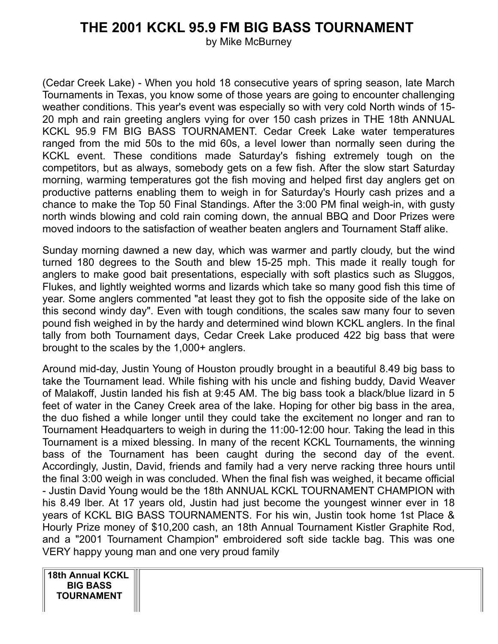## **THE 2001 KCKL 95.9 FM BIG BASS TOURNAMENT**

by Mike McBurney

(Cedar Creek Lake) - When you hold 18 consecutive years of spring season, late March Tournaments in Texas, you know some of those years are going to encounter challenging weather conditions. This year's event was especially so with very cold North winds of 15- 20 mph and rain greeting anglers vying for over 150 cash prizes in THE 18th ANNUAL KCKL 95.9 FM BIG BASS TOURNAMENT. Cedar Creek Lake water temperatures ranged from the mid 50s to the mid 60s, a level lower than normally seen during the KCKL event. These conditions made Saturday's fishing extremely tough on the competitors, but as always, somebody gets on a few fish. After the slow start Saturday morning, warming temperatures got the fish moving and helped first day anglers get on productive patterns enabling them to weigh in for Saturday's Hourly cash prizes and a chance to make the Top 50 Final Standings. After the 3:00 PM final weigh-in, with gusty north winds blowing and cold rain coming down, the annual BBQ and Door Prizes were moved indoors to the satisfaction of weather beaten anglers and Tournament Staff alike.

Sunday morning dawned a new day, which was warmer and partly cloudy, but the wind turned 180 degrees to the South and blew 15-25 mph. This made it really tough for anglers to make good bait presentations, especially with soft plastics such as Sluggos, Flukes, and lightly weighted worms and lizards which take so many good fish this time of year. Some anglers commented "at least they got to fish the opposite side of the lake on this second windy day". Even with tough conditions, the scales saw many four to seven pound fish weighed in by the hardy and determined wind blown KCKL anglers. In the final tally from both Tournament days, Cedar Creek Lake produced 422 big bass that were brought to the scales by the 1,000+ anglers.

Around mid-day, Justin Young of Houston proudly brought in a beautiful 8.49 big bass to take the Tournament lead. While fishing with his uncle and fishing buddy, David Weaver of Malakoff, Justin landed his fish at 9:45 AM. The big bass took a black/blue lizard in 5 feet of water in the Caney Creek area of the lake. Hoping for other big bass in the area, the duo fished a while longer until they could take the excitement no longer and ran to Tournament Headquarters to weigh in during the 11:00-12:00 hour. Taking the lead in this Tournament is a mixed blessing. In many of the recent KCKL Tournaments, the winning bass of the Tournament has been caught during the second day of the event. Accordingly, Justin, David, friends and family had a very nerve racking three hours until the final 3:00 weigh in was concluded. When the final fish was weighed, it became official - Justin David Young would be the 18th ANNUAL KCKL TOURNAMENT CHAMPION with his 8.49 lber. At 17 years old, Justin had just become the youngest winner ever in 18 years of KCKL BIG BASS TOURNAMENTS. For his win, Justin took home 1st Place & Hourly Prize money of \$10,200 cash, an 18th Annual Tournament Kistler Graphite Rod, and a "2001 Tournament Champion" embroidered soft side tackle bag. This was one VERY happy young man and one very proud family

**18th Annual KCKL BIG BASS TOURNAMENT**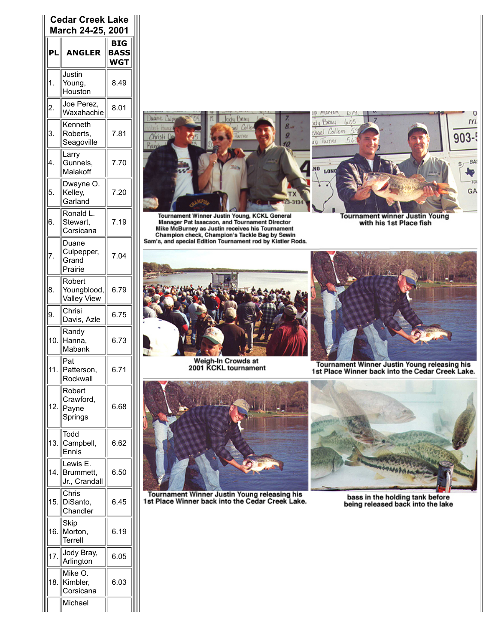| <b>Cedar Creek Lake</b><br>March 24-25, 2001 |                                             |                                  |  |
|----------------------------------------------|---------------------------------------------|----------------------------------|--|
| ΡL                                           | <b>ANGLER</b>                               | BIG<br><b>BASS</b><br><b>WGT</b> |  |
| 1.                                           | Justin<br>Young,<br>Houston                 | 8.49                             |  |
| 2.                                           | Joe Perez,<br>Waxahachie                    | 8.01                             |  |
| 3.                                           | Kenneth<br>Roberts,<br>Seagoville           | 7.81                             |  |
| 4.                                           | Larry<br>Gunnels,<br>Malakoff               | 7.70                             |  |
| 5.                                           | Dwayne O.<br>Kelley,<br>Garland             | 7.20                             |  |
| 6.                                           | Ronald L.<br>Stewart,<br>Corsicana          | 7.19                             |  |
| 7                                            | Duane<br>Culpepper,<br>Grand<br>Prairie     | 7.04                             |  |
| 8.                                           | Robert<br>Youngblood,<br><b>Valley View</b> | 6.79                             |  |
| 9.                                           | Chrisi<br>Davis, Azle                       | 6.75                             |  |
| 10.                                          | Randy<br>Hanna,<br>Mabank                   | 6.73                             |  |
|                                              | Pat<br>Patterson,<br>Rockwall               | 6.71                             |  |
| 12.                                          | Robert<br>Crawford,<br>Payne<br>Springs     | 6.68                             |  |
| 13.                                          | Todd<br>Campbell,<br>:nnis                  | 6.62                             |  |
| 14                                           | Lewis I<br>Brummett,<br>Jr., Crandall       | 6.50                             |  |
| 15.                                          | Chris<br>DiSanto,<br>handler                | 6.45                             |  |
| 16.                                          | Skip<br>Morton,<br>Terrell                  | 6.19                             |  |
| 17.                                          | Jody Bray,<br>Arlington                     | 6.05                             |  |
| 18.                                          | Mike O.<br>Kimbler,<br>Corsicana            | 6.03                             |  |
|                                              | Michael                                     |                                  |  |



Tournament Winner Justin Young, KCKL General<br>Manager Pat Isaacson, and Tournament Director<br>Mike McBurney as Justin receives his Tournament<br>Champion check, Champion's Tackle Bag by Sewin<br>Sam's, and special Edition Tournamen



Tournament winner Justin Young<br>with his 1st Place fish



Weigh-In Crowds at<br>2001 KCKL tournament



Tournament Winner Justin Young releasing his<br>1st Place Winner back into the Cedar Creek Lake.



Tournament Winner Justin Young releasing his<br>1st Place Winner back into the Cedar Creek Lake.



bass in the holding tank before<br>being released back into the lake